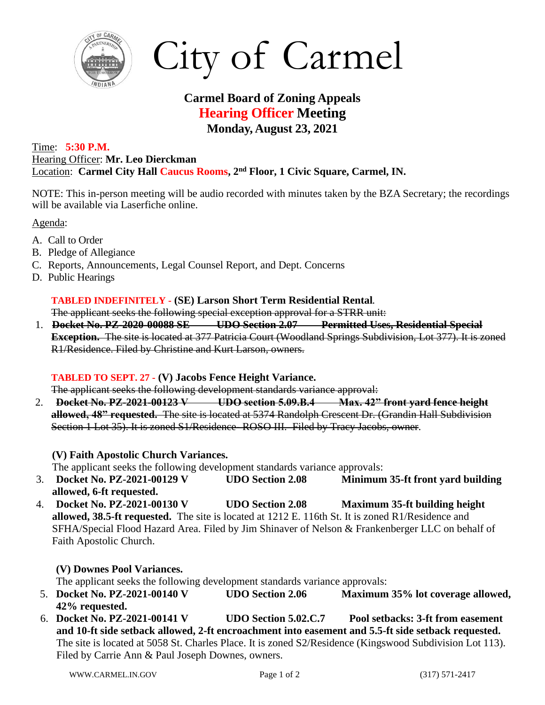

City of Carmel

# **Carmel Board of Zoning Appeals Hearing Officer Meeting Monday, August 23, 2021**

#### Time: **5:30 P.M.** Hearing Officer: **Mr. Leo Dierckman** Location: **Carmel City Hall Caucus Rooms, 2 nd Floor, 1 Civic Square, Carmel, IN.**

NOTE: This in-person meeting will be audio recorded with minutes taken by the BZA Secretary; the recordings will be available via Laserfiche online.

Agenda:

- A. Call to Order
- B. Pledge of Allegiance
- C. Reports, Announcements, Legal Counsel Report, and Dept. Concerns
- D. Public Hearings

## **TABLED INDEFINITELY - (SE) Larson Short Term Residential Rental.**

The applicant seeks the following special exception approval for a STRR unit:

1. **Docket No. PZ-2020-00088 SE UDO Section 2.07 Permitted Uses, Residential Special Exception.** The site is located at 377 Patricia Court (Woodland Springs Subdivision, Lot 377). It is zoned R1/Residence. Filed by Christine and Kurt Larson, owners.

### **TABLED TO SEPT. 27 - (V) Jacobs Fence Height Variance.**

The applicant seeks the following development standards variance approval:

2. **Docket No. PZ-2021-00123 V UDO section 5.09.B.4 Max. 42" front yard fence height allowed, 48" requested.** The site is located at 5374 Randolph Crescent Dr. (Grandin Hall Subdivision Section 1 Lot 35). It is zoned S1/Residence- ROSO III. Filed by Tracy Jacobs, owner.

### **(V) Faith Apostolic Church Variances.**

The applicant seeks the following development standards variance approvals:

- 3. **Docket No. PZ-2021-00129 V UDO Section 2.08 Minimum 35-ft front yard building allowed, 6-ft requested.**
- 4. **Docket No. PZ-2021-00130 V UDO Section 2.08 Maximum 35-ft building height allowed, 38.5-ft requested.** The site is located at 1212 E. 116th St. It is zoned R1/Residence and SFHA/Special Flood Hazard Area. Filed by Jim Shinaver of Nelson & Frankenberger LLC on behalf of Faith Apostolic Church.

# **(V) Downes Pool Variances.**

The applicant seeks the following development standards variance approvals:

- 5. **Docket No. PZ-2021-00140 V UDO Section 2.06 Maximum 35% lot coverage allowed, 42% requested.**
- 6. **Docket No. PZ-2021-00141 V UDO Section 5.02.C.7 Pool setbacks: 3-ft from easement and 10-ft side setback allowed, 2-ft encroachment into easement and 5.5-ft side setback requested.**  The site is located at 5058 St. Charles Place. It is zoned S2/Residence (Kingswood Subdivision Lot 113). Filed by Carrie Ann & Paul Joseph Downes, owners.